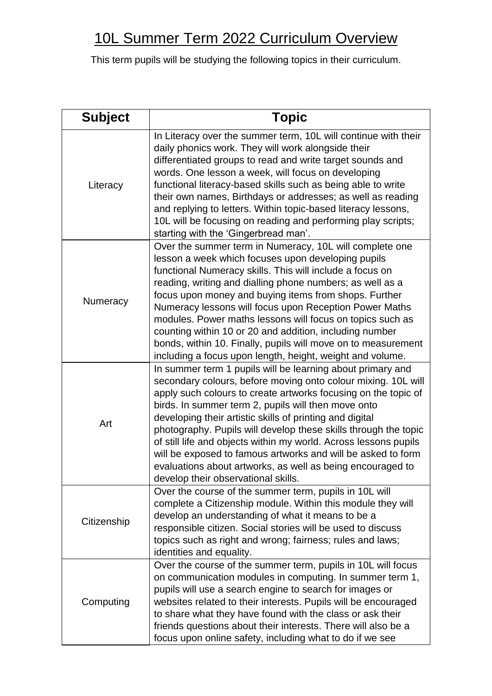## 10L Summer Term 2022 Curriculum Overview

| <b>Subject</b> | <b>Topic</b>                                                                                                                                                                                                                                                                                                                                                                                                                                                                                                                                                                                                                 |
|----------------|------------------------------------------------------------------------------------------------------------------------------------------------------------------------------------------------------------------------------------------------------------------------------------------------------------------------------------------------------------------------------------------------------------------------------------------------------------------------------------------------------------------------------------------------------------------------------------------------------------------------------|
| Literacy       | In Literacy over the summer term, 10L will continue with their<br>daily phonics work. They will work alongside their<br>differentiated groups to read and write target sounds and<br>words. One lesson a week, will focus on developing<br>functional literacy-based skills such as being able to write<br>their own names, Birthdays or addresses; as well as reading<br>and replying to letters. Within topic-based literacy lessons,<br>10L will be focusing on reading and performing play scripts;<br>starting with the 'Gingerbread man'.                                                                              |
| Numeracy       | Over the summer term in Numeracy, 10L will complete one<br>lesson a week which focuses upon developing pupils<br>functional Numeracy skills. This will include a focus on<br>reading, writing and dialling phone numbers; as well as a<br>focus upon money and buying items from shops. Further<br>Numeracy lessons will focus upon Reception Power Maths<br>modules. Power maths lessons will focus on topics such as<br>counting within 10 or 20 and addition, including number<br>bonds, within 10. Finally, pupils will move on to measurement<br>including a focus upon length, height, weight and volume.              |
| Art            | In summer term 1 pupils will be learning about primary and<br>secondary colours, before moving onto colour mixing. 10L will<br>apply such colours to create artworks focusing on the topic of<br>birds. In summer term 2, pupils will then move onto<br>developing their artistic skills of printing and digital<br>photography. Pupils will develop these skills through the topic<br>of still life and objects within my world. Across lessons pupils<br>will be exposed to famous artworks and will be asked to form<br>evaluations about artworks, as well as being encouraged to<br>develop their observational skills. |
| Citizenship    | Over the course of the summer term, pupils in 10L will<br>complete a Citizenship module. Within this module they will<br>develop an understanding of what it means to be a<br>responsible citizen. Social stories will be used to discuss<br>topics such as right and wrong; fairness; rules and laws;<br>identities and equality.                                                                                                                                                                                                                                                                                           |
| Computing      | Over the course of the summer term, pupils in 10L will focus<br>on communication modules in computing. In summer term 1,<br>pupils will use a search engine to search for images or<br>websites related to their interests. Pupils will be encouraged<br>to share what they have found with the class or ask their<br>friends questions about their interests. There will also be a<br>focus upon online safety, including what to do if we see                                                                                                                                                                              |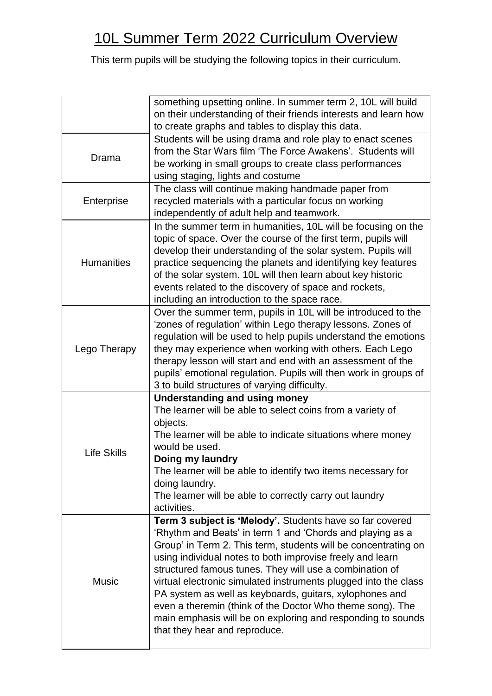|                    | something upsetting online. In summer term 2, 10L will build<br>on their understanding of their friends interests and learn how<br>to create graphs and tables to display this data.                                                                                                                                                                                                                                                                                                                                                                                                                              |
|--------------------|-------------------------------------------------------------------------------------------------------------------------------------------------------------------------------------------------------------------------------------------------------------------------------------------------------------------------------------------------------------------------------------------------------------------------------------------------------------------------------------------------------------------------------------------------------------------------------------------------------------------|
| Drama              | Students will be using drama and role play to enact scenes<br>from the Star Wars film 'The Force Awakens'. Students will<br>be working in small groups to create class performances<br>using staging, lights and costume                                                                                                                                                                                                                                                                                                                                                                                          |
| Enterprise         | The class will continue making handmade paper from<br>recycled materials with a particular focus on working<br>independently of adult help and teamwork.                                                                                                                                                                                                                                                                                                                                                                                                                                                          |
| <b>Humanities</b>  | In the summer term in humanities, 10L will be focusing on the<br>topic of space. Over the course of the first term, pupils will<br>develop their understanding of the solar system. Pupils will<br>practice sequencing the planets and identifying key features<br>of the solar system. 10L will then learn about key historic<br>events related to the discovery of space and rockets,<br>including an introduction to the space race.                                                                                                                                                                           |
| Lego Therapy       | Over the summer term, pupils in 10L will be introduced to the<br>'zones of regulation' within Lego therapy lessons. Zones of<br>regulation will be used to help pupils understand the emotions<br>they may experience when working with others. Each Lego<br>therapy lesson will start and end with an assessment of the<br>pupils' emotional regulation. Pupils will then work in groups of<br>3 to build structures of varying difficulty.                                                                                                                                                                      |
| <b>Life Skills</b> | <b>Understanding and using money</b><br>The learner will be able to select coins from a variety of<br>objects.<br>The learner will be able to indicate situations where money<br>would be used.<br>Doing my laundry<br>The learner will be able to identify two items necessary for<br>doing laundry.<br>The learner will be able to correctly carry out laundry<br>activities.                                                                                                                                                                                                                                   |
| <b>Music</b>       | <b>Term 3 subject is 'Melody'.</b> Students have so far covered<br>'Rhythm and Beats' in term 1 and 'Chords and playing as a<br>Group' in Term 2. This term, students will be concentrating on<br>using individual notes to both improvise freely and learn<br>structured famous tunes. They will use a combination of<br>virtual electronic simulated instruments plugged into the class<br>PA system as well as keyboards, guitars, xylophones and<br>even a theremin (think of the Doctor Who theme song). The<br>main emphasis will be on exploring and responding to sounds<br>that they hear and reproduce. |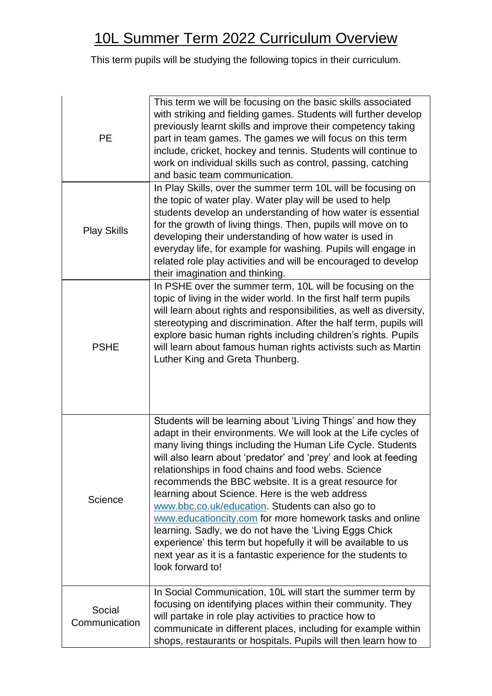| <b>PE</b>               | This term we will be focusing on the basic skills associated<br>with striking and fielding games. Students will further develop<br>previously learnt skills and improve their competency taking<br>part in team games. The games we will focus on this term<br>include, cricket, hockey and tennis. Students will continue to<br>work on individual skills such as control, passing, catching<br>and basic team communication.                                                                                                                                                                                                                                                                                                                                         |
|-------------------------|------------------------------------------------------------------------------------------------------------------------------------------------------------------------------------------------------------------------------------------------------------------------------------------------------------------------------------------------------------------------------------------------------------------------------------------------------------------------------------------------------------------------------------------------------------------------------------------------------------------------------------------------------------------------------------------------------------------------------------------------------------------------|
| <b>Play Skills</b>      | In Play Skills, over the summer term 10L will be focusing on<br>the topic of water play. Water play will be used to help<br>students develop an understanding of how water is essential<br>for the growth of living things. Then, pupils will move on to<br>developing their understanding of how water is used in<br>everyday life, for example for washing. Pupils will engage in<br>related role play activities and will be encouraged to develop<br>their imagination and thinking.                                                                                                                                                                                                                                                                               |
| <b>PSHE</b>             | In PSHE over the summer term, 10L will be focusing on the<br>topic of living in the wider world. In the first half term pupils<br>will learn about rights and responsibilities, as well as diversity,<br>stereotyping and discrimination. After the half term, pupils will<br>explore basic human rights including children's rights. Pupils<br>will learn about famous human rights activists such as Martin<br>Luther King and Greta Thunberg.                                                                                                                                                                                                                                                                                                                       |
| Science                 | Students will be learning about 'Living Things' and how they<br>adapt in their environments. We will look at the Life cycles of<br>many living things including the Human Life Cycle. Students<br>will also learn about 'predator' and 'prey' and look at feeding<br>relationships in food chains and food webs. Science<br>recommends the BBC website. It is a great resource for<br>learning about Science. Here is the web address<br>www.bbc.co.uk/education. Students can also go to<br>www.educationcity.com for more homework tasks and online<br>learning. Sadly, we do not have the 'Living Eggs Chick<br>experience' this term but hopefully it will be available to us<br>next year as it is a fantastic experience for the students to<br>look forward to! |
| Social<br>Communication | In Social Communication, 10L will start the summer term by<br>focusing on identifying places within their community. They<br>will partake in role play activities to practice how to<br>communicate in different places, including for example within<br>shops, restaurants or hospitals. Pupils will then learn how to                                                                                                                                                                                                                                                                                                                                                                                                                                                |